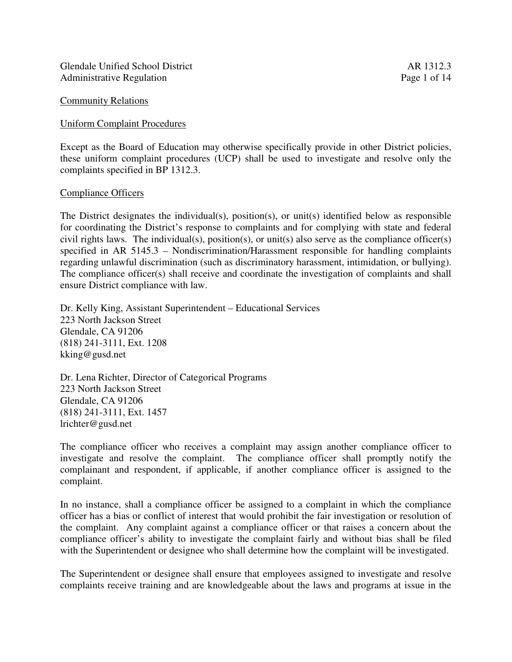Glendale Unified School District **AR** 1312.3 Administrative Regulation Page 1 of 14

#### Uniform Complaint Procedures

Except as the Board of Education may otherwise specifically provide in other District policies, these uniform complaint procedures (UCP) shall be used to investigate and resolve only the complaints specified in BP 1312.3.

#### Compliance Officers

The District designates the individual(s), position(s), or unit(s) identified below as responsible for coordinating the District's response to complaints and for complying with state and federal civil rights laws. The individual(s), position(s), or unit(s) also serve as the compliance officer(s) specified in AR 5145.3 – Nondiscrimination/Harassment responsible for handling complaints regarding unlawful discrimination (such as discriminatory harassment, intimidation, or bullying). The compliance officer(s) shall receive and coordinate the investigation of complaints and shall ensure District compliance with law.

Dr. Kelly King, Assistant Superintendent – Educational Services 223 North Jackson Street Glendale, CA 91206 (818) 241-3111, Ext. 1208 kking@gusd.net

Dr. Lena Richter, Director of Categorical Programs 223 North Jackson Street Glendale, CA 91206 (818) 241-3111, Ext. 1457 lrichter@gusd.net

The compliance officer who receives a complaint may assign another compliance officer to investigate and resolve the complaint. The compliance officer shall promptly notify the complainant and respondent, if applicable, if another compliance officer is assigned to the complaint.

In no instance, shall a compliance officer be assigned to a complaint in which the compliance officer has a bias or conflict of interest that would prohibit the fair investigation or resolution of the complaint. Any complaint against a compliance officer or that raises a concern about the compliance officer's ability to investigate the complaint fairly and without bias shall be filed with the Superintendent or designee who shall determine how the complaint will be investigated.

The Superintendent or designee shall ensure that employees assigned to investigate and resolve complaints receive training and are knowledgeable about the laws and programs at issue in the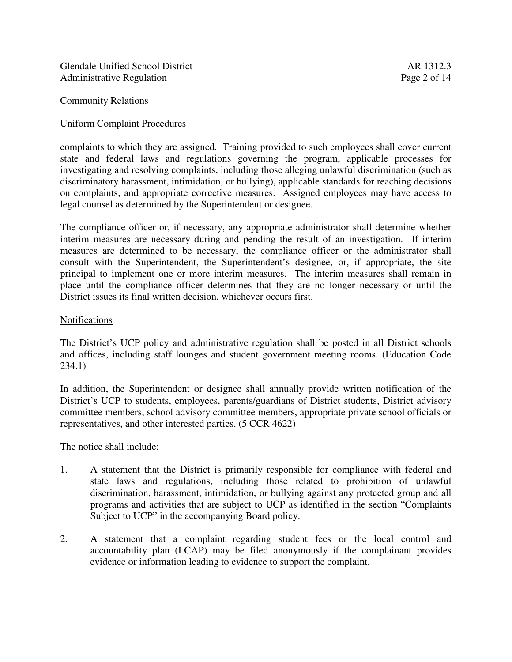## Uniform Complaint Procedures

complaints to which they are assigned. Training provided to such employees shall cover current state and federal laws and regulations governing the program, applicable processes for investigating and resolving complaints, including those alleging unlawful discrimination (such as discriminatory harassment, intimidation, or bullying), applicable standards for reaching decisions on complaints, and appropriate corrective measures. Assigned employees may have access to legal counsel as determined by the Superintendent or designee.

The compliance officer or, if necessary, any appropriate administrator shall determine whether interim measures are necessary during and pending the result of an investigation. If interim measures are determined to be necessary, the compliance officer or the administrator shall consult with the Superintendent, the Superintendent's designee, or, if appropriate, the site principal to implement one or more interim measures. The interim measures shall remain in place until the compliance officer determines that they are no longer necessary or until the District issues its final written decision, whichever occurs first.

#### Notifications

The District's UCP policy and administrative regulation shall be posted in all District schools and offices, including staff lounges and student government meeting rooms. (Education Code 234.1)

In addition, the Superintendent or designee shall annually provide written notification of the District's UCP to students, employees, parents/guardians of District students, District advisory committee members, school advisory committee members, appropriate private school officials or representatives, and other interested parties. (5 CCR 4622)

The notice shall include:

- 1. A statement that the District is primarily responsible for compliance with federal and state laws and regulations, including those related to prohibition of unlawful discrimination, harassment, intimidation, or bullying against any protected group and all programs and activities that are subject to UCP as identified in the section "Complaints Subject to UCP" in the accompanying Board policy.
- 2. A statement that a complaint regarding student fees or the local control and accountability plan (LCAP) may be filed anonymously if the complainant provides evidence or information leading to evidence to support the complaint.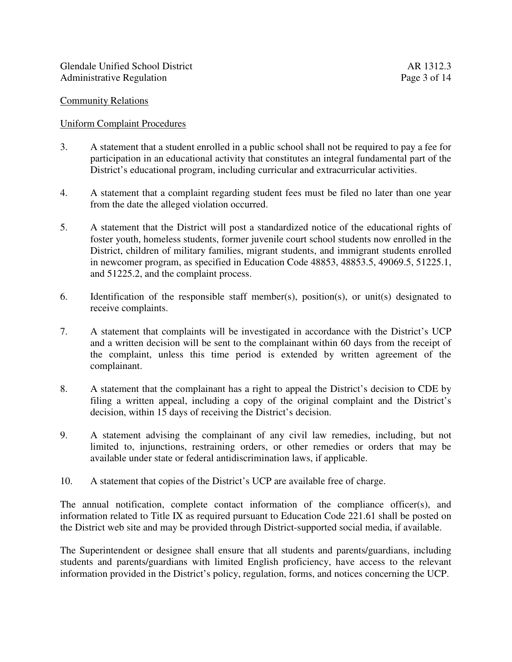## Uniform Complaint Procedures

- 3. A statement that a student enrolled in a public school shall not be required to pay a fee for participation in an educational activity that constitutes an integral fundamental part of the District's educational program, including curricular and extracurricular activities.
- 4. A statement that a complaint regarding student fees must be filed no later than one year from the date the alleged violation occurred.
- 5. A statement that the District will post a standardized notice of the educational rights of foster youth, homeless students, former juvenile court school students now enrolled in the District, children of military families, migrant students, and immigrant students enrolled in newcomer program, as specified in Education Code 48853, 48853.5, 49069.5, 51225.1, and 51225.2, and the complaint process.
- 6. Identification of the responsible staff member(s), position(s), or unit(s) designated to receive complaints.
- 7. A statement that complaints will be investigated in accordance with the District's UCP and a written decision will be sent to the complainant within 60 days from the receipt of the complaint, unless this time period is extended by written agreement of the complainant.
- 8. A statement that the complainant has a right to appeal the District's decision to CDE by filing a written appeal, including a copy of the original complaint and the District's decision, within 15 days of receiving the District's decision.
- 9. A statement advising the complainant of any civil law remedies, including, but not limited to, injunctions, restraining orders, or other remedies or orders that may be available under state or federal antidiscrimination laws, if applicable.
- 10. A statement that copies of the District's UCP are available free of charge.

The annual notification, complete contact information of the compliance officer(s), and information related to Title IX as required pursuant to Education Code 221.61 shall be posted on the District web site and may be provided through District-supported social media, if available.

The Superintendent or designee shall ensure that all students and parents/guardians, including students and parents/guardians with limited English proficiency, have access to the relevant information provided in the District's policy, regulation, forms, and notices concerning the UCP.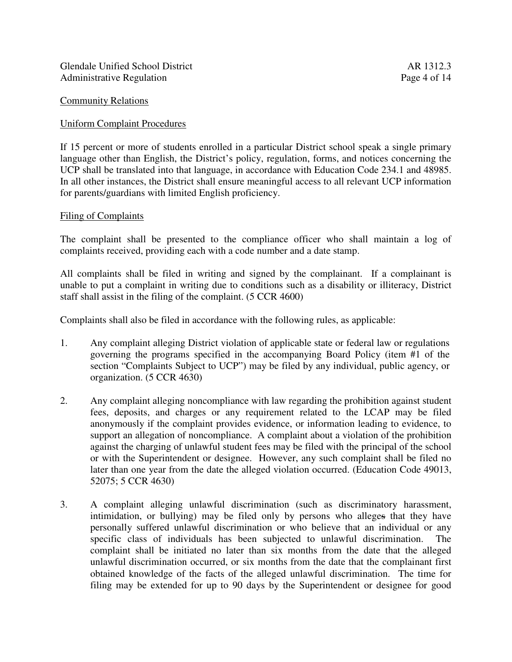## Uniform Complaint Procedures

If 15 percent or more of students enrolled in a particular District school speak a single primary language other than English, the District's policy, regulation, forms, and notices concerning the UCP shall be translated into that language, in accordance with Education Code 234.1 and 48985. In all other instances, the District shall ensure meaningful access to all relevant UCP information for parents/guardians with limited English proficiency.

#### Filing of Complaints

The complaint shall be presented to the compliance officer who shall maintain a log of complaints received, providing each with a code number and a date stamp.

All complaints shall be filed in writing and signed by the complainant. If a complainant is unable to put a complaint in writing due to conditions such as a disability or illiteracy, District staff shall assist in the filing of the complaint. (5 CCR 4600)

Complaints shall also be filed in accordance with the following rules, as applicable:

- 1. Any complaint alleging District violation of applicable state or federal law or regulations governing the programs specified in the accompanying Board Policy (item #1 of the section "Complaints Subject to UCP") may be filed by any individual, public agency, or organization. (5 CCR 4630)
- 2. Any complaint alleging noncompliance with law regarding the prohibition against student fees, deposits, and charges or any requirement related to the LCAP may be filed anonymously if the complaint provides evidence, or information leading to evidence, to support an allegation of noncompliance. A complaint about a violation of the prohibition against the charging of unlawful student fees may be filed with the principal of the school or with the Superintendent or designee. However, any such complaint shall be filed no later than one year from the date the alleged violation occurred. (Education Code 49013, 52075; 5 CCR 4630)
- 3. A complaint alleging unlawful discrimination (such as discriminatory harassment, intimidation, or bullying) may be filed only by persons who alleges that they have personally suffered unlawful discrimination or who believe that an individual or any specific class of individuals has been subjected to unlawful discrimination. The complaint shall be initiated no later than six months from the date that the alleged unlawful discrimination occurred, or six months from the date that the complainant first obtained knowledge of the facts of the alleged unlawful discrimination. The time for filing may be extended for up to 90 days by the Superintendent or designee for good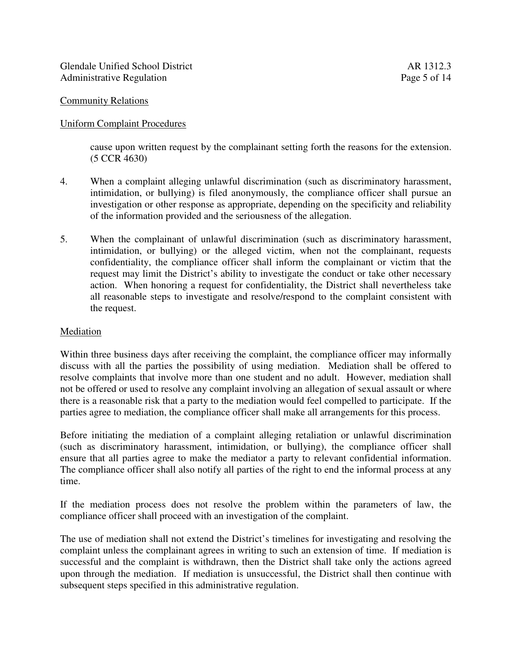## Uniform Complaint Procedures

cause upon written request by the complainant setting forth the reasons for the extension. (5 CCR 4630)

- 4. When a complaint alleging unlawful discrimination (such as discriminatory harassment, intimidation, or bullying) is filed anonymously, the compliance officer shall pursue an investigation or other response as appropriate, depending on the specificity and reliability of the information provided and the seriousness of the allegation.
- 5. When the complainant of unlawful discrimination (such as discriminatory harassment, intimidation, or bullying) or the alleged victim, when not the complainant, requests confidentiality, the compliance officer shall inform the complainant or victim that the request may limit the District's ability to investigate the conduct or take other necessary action. When honoring a request for confidentiality, the District shall nevertheless take all reasonable steps to investigate and resolve/respond to the complaint consistent with the request.

#### Mediation

Within three business days after receiving the complaint, the compliance officer may informally discuss with all the parties the possibility of using mediation. Mediation shall be offered to resolve complaints that involve more than one student and no adult. However, mediation shall not be offered or used to resolve any complaint involving an allegation of sexual assault or where there is a reasonable risk that a party to the mediation would feel compelled to participate. If the parties agree to mediation, the compliance officer shall make all arrangements for this process.

Before initiating the mediation of a complaint alleging retaliation or unlawful discrimination (such as discriminatory harassment, intimidation, or bullying), the compliance officer shall ensure that all parties agree to make the mediator a party to relevant confidential information. The compliance officer shall also notify all parties of the right to end the informal process at any time.

If the mediation process does not resolve the problem within the parameters of law, the compliance officer shall proceed with an investigation of the complaint.

The use of mediation shall not extend the District's timelines for investigating and resolving the complaint unless the complainant agrees in writing to such an extension of time. If mediation is successful and the complaint is withdrawn, then the District shall take only the actions agreed upon through the mediation. If mediation is unsuccessful, the District shall then continue with subsequent steps specified in this administrative regulation.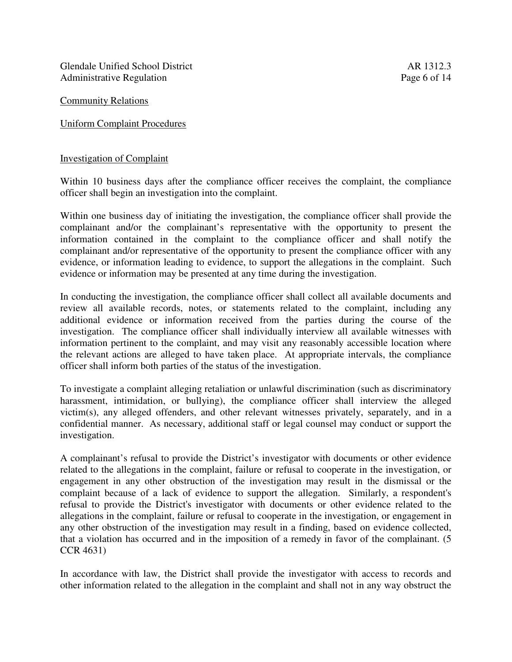Glendale Unified School District **AR** 1312.3 Administrative Regulation **Page 6 of 14** 

Community Relations

Uniform Complaint Procedures

#### Investigation of Complaint

Within 10 business days after the compliance officer receives the complaint, the compliance officer shall begin an investigation into the complaint.

Within one business day of initiating the investigation, the compliance officer shall provide the complainant and/or the complainant's representative with the opportunity to present the information contained in the complaint to the compliance officer and shall notify the complainant and/or representative of the opportunity to present the compliance officer with any evidence, or information leading to evidence, to support the allegations in the complaint. Such evidence or information may be presented at any time during the investigation.

In conducting the investigation, the compliance officer shall collect all available documents and review all available records, notes, or statements related to the complaint, including any additional evidence or information received from the parties during the course of the investigation. The compliance officer shall individually interview all available witnesses with information pertinent to the complaint, and may visit any reasonably accessible location where the relevant actions are alleged to have taken place. At appropriate intervals, the compliance officer shall inform both parties of the status of the investigation.

To investigate a complaint alleging retaliation or unlawful discrimination (such as discriminatory harassment, intimidation, or bullying), the compliance officer shall interview the alleged victim(s), any alleged offenders, and other relevant witnesses privately, separately, and in a confidential manner. As necessary, additional staff or legal counsel may conduct or support the investigation.

A complainant's refusal to provide the District's investigator with documents or other evidence related to the allegations in the complaint, failure or refusal to cooperate in the investigation, or engagement in any other obstruction of the investigation may result in the dismissal or the complaint because of a lack of evidence to support the allegation. Similarly, a respondent's refusal to provide the District's investigator with documents or other evidence related to the allegations in the complaint, failure or refusal to cooperate in the investigation, or engagement in any other obstruction of the investigation may result in a finding, based on evidence collected, that a violation has occurred and in the imposition of a remedy in favor of the complainant. (5 CCR 4631)

In accordance with law, the District shall provide the investigator with access to records and other information related to the allegation in the complaint and shall not in any way obstruct the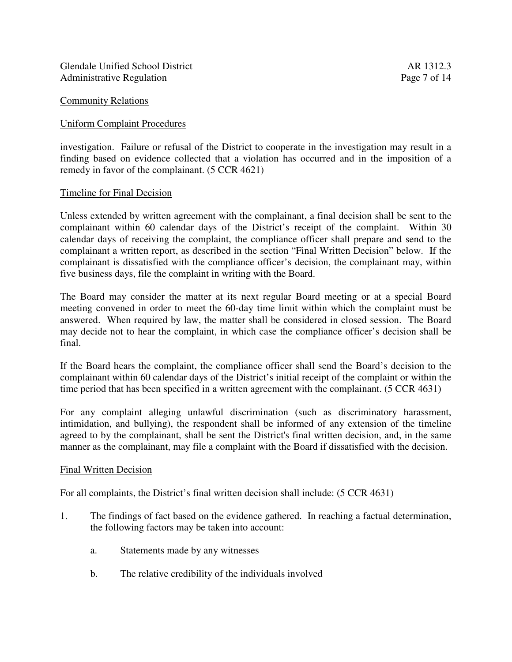Glendale Unified School District **AR** 1312.3 Administrative Regulation Page 7 of 14

#### Community Relations

#### Uniform Complaint Procedures

investigation. Failure or refusal of the District to cooperate in the investigation may result in a finding based on evidence collected that a violation has occurred and in the imposition of a remedy in favor of the complainant. (5 CCR 4621)

#### Timeline for Final Decision

Unless extended by written agreement with the complainant, a final decision shall be sent to the complainant within 60 calendar days of the District's receipt of the complaint. Within 30 calendar days of receiving the complaint, the compliance officer shall prepare and send to the complainant a written report, as described in the section "Final Written Decision" below. If the complainant is dissatisfied with the compliance officer's decision, the complainant may, within five business days, file the complaint in writing with the Board.

The Board may consider the matter at its next regular Board meeting or at a special Board meeting convened in order to meet the 60-day time limit within which the complaint must be answered. When required by law, the matter shall be considered in closed session. The Board may decide not to hear the complaint, in which case the compliance officer's decision shall be final.

If the Board hears the complaint, the compliance officer shall send the Board's decision to the complainant within 60 calendar days of the District's initial receipt of the complaint or within the time period that has been specified in a written agreement with the complainant. (5 CCR 4631)

For any complaint alleging unlawful discrimination (such as discriminatory harassment, intimidation, and bullying), the respondent shall be informed of any extension of the timeline agreed to by the complainant, shall be sent the District's final written decision, and, in the same manner as the complainant, may file a complaint with the Board if dissatisfied with the decision.

#### Final Written Decision

For all complaints, the District's final written decision shall include: (5 CCR 4631)

- 1. The findings of fact based on the evidence gathered. In reaching a factual determination, the following factors may be taken into account:
	- a. Statements made by any witnesses
	- b. The relative credibility of the individuals involved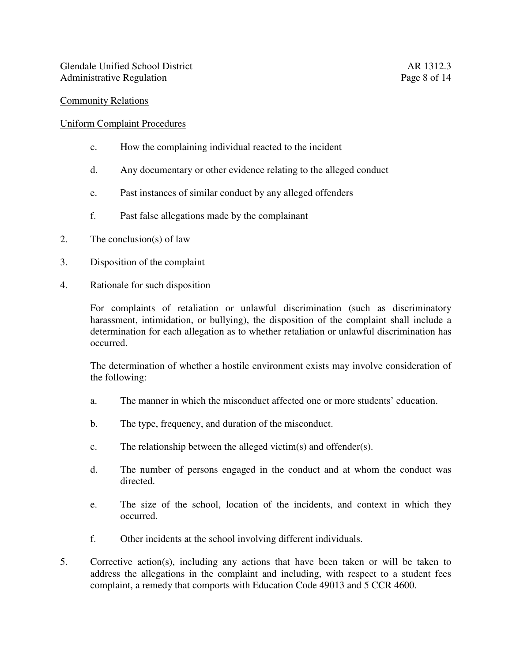#### Uniform Complaint Procedures

- c. How the complaining individual reacted to the incident
- d. Any documentary or other evidence relating to the alleged conduct
- e. Past instances of similar conduct by any alleged offenders
- f. Past false allegations made by the complainant
- 2. The conclusion(s) of law
- 3. Disposition of the complaint
- 4. Rationale for such disposition

For complaints of retaliation or unlawful discrimination (such as discriminatory harassment, intimidation, or bullying), the disposition of the complaint shall include a determination for each allegation as to whether retaliation or unlawful discrimination has occurred.

The determination of whether a hostile environment exists may involve consideration of the following:

- a. The manner in which the misconduct affected one or more students' education.
- b. The type, frequency, and duration of the misconduct.
- c. The relationship between the alleged victim(s) and offender(s).
- d. The number of persons engaged in the conduct and at whom the conduct was directed.
- e. The size of the school, location of the incidents, and context in which they occurred.
- f. Other incidents at the school involving different individuals.
- 5. Corrective action(s), including any actions that have been taken or will be taken to address the allegations in the complaint and including, with respect to a student fees complaint, a remedy that comports with Education Code 49013 and 5 CCR 4600.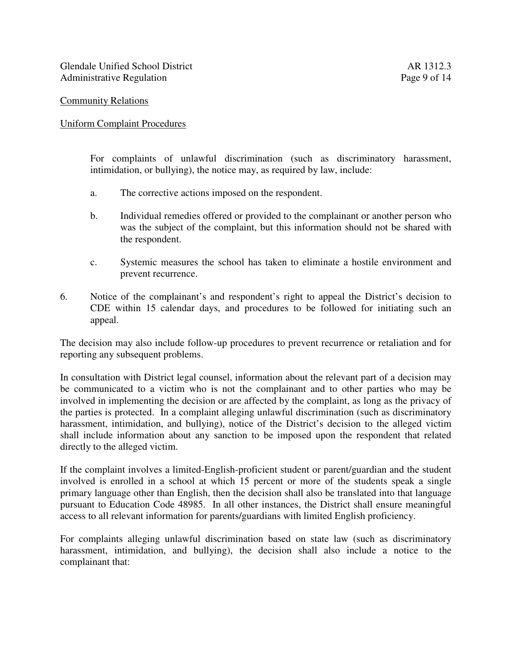## Uniform Complaint Procedures

For complaints of unlawful discrimination (such as discriminatory harassment, intimidation, or bullying), the notice may, as required by law, include:

- a. The corrective actions imposed on the respondent.
- b. Individual remedies offered or provided to the complainant or another person who was the subject of the complaint, but this information should not be shared with the respondent.
- c. Systemic measures the school has taken to eliminate a hostile environment and prevent recurrence.
- 6. Notice of the complainant's and respondent's right to appeal the District's decision to CDE within 15 calendar days, and procedures to be followed for initiating such an appeal.

The decision may also include follow-up procedures to prevent recurrence or retaliation and for reporting any subsequent problems.

In consultation with District legal counsel, information about the relevant part of a decision may be communicated to a victim who is not the complainant and to other parties who may be involved in implementing the decision or are affected by the complaint, as long as the privacy of the parties is protected. In a complaint alleging unlawful discrimination (such as discriminatory harassment, intimidation, and bullying), notice of the District's decision to the alleged victim shall include information about any sanction to be imposed upon the respondent that related directly to the alleged victim.

If the complaint involves a limited-English-proficient student or parent/guardian and the student involved is enrolled in a school at which 15 percent or more of the students speak a single primary language other than English, then the decision shall also be translated into that language pursuant to Education Code 48985. In all other instances, the District shall ensure meaningful access to all relevant information for parents/guardians with limited English proficiency.

For complaints alleging unlawful discrimination based on state law (such as discriminatory harassment, intimidation, and bullying), the decision shall also include a notice to the complainant that: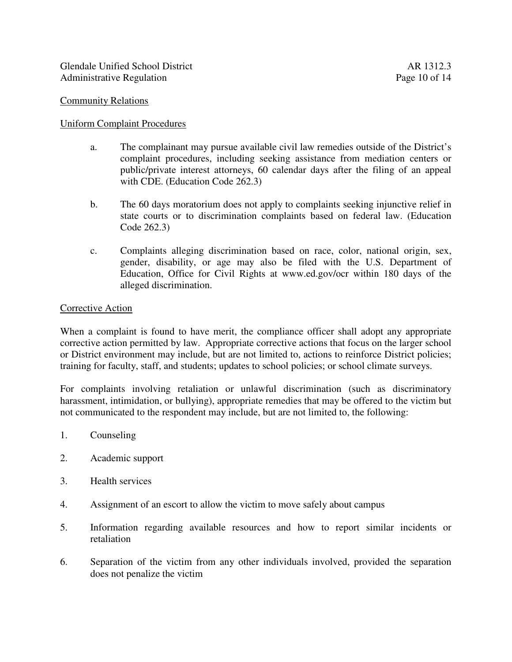## Uniform Complaint Procedures

- a. The complainant may pursue available civil law remedies outside of the District's complaint procedures, including seeking assistance from mediation centers or public/private interest attorneys, 60 calendar days after the filing of an appeal with CDE. (Education Code 262.3)
- b. The 60 days moratorium does not apply to complaints seeking injunctive relief in state courts or to discrimination complaints based on federal law. (Education Code 262.3)
- c. Complaints alleging discrimination based on race, color, national origin, sex, gender, disability, or age may also be filed with the U.S. Department of Education, Office for Civil Rights at www.ed.gov/ocr within 180 days of the alleged discrimination.

#### Corrective Action

When a complaint is found to have merit, the compliance officer shall adopt any appropriate corrective action permitted by law. Appropriate corrective actions that focus on the larger school or District environment may include, but are not limited to, actions to reinforce District policies; training for faculty, staff, and students; updates to school policies; or school climate surveys.

For complaints involving retaliation or unlawful discrimination (such as discriminatory harassment, intimidation, or bullying), appropriate remedies that may be offered to the victim but not communicated to the respondent may include, but are not limited to, the following:

- 1. Counseling
- 2. Academic support
- 3. Health services
- 4. Assignment of an escort to allow the victim to move safely about campus
- 5. Information regarding available resources and how to report similar incidents or retaliation
- 6. Separation of the victim from any other individuals involved, provided the separation does not penalize the victim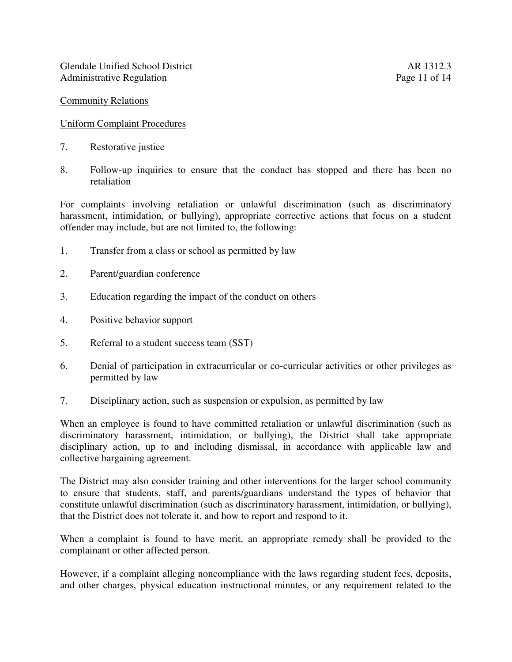## Uniform Complaint Procedures

- 7. Restorative justice
- 8. Follow-up inquiries to ensure that the conduct has stopped and there has been no retaliation

For complaints involving retaliation or unlawful discrimination (such as discriminatory harassment, intimidation, or bullying), appropriate corrective actions that focus on a student offender may include, but are not limited to, the following:

- 1. Transfer from a class or school as permitted by law
- 2. Parent/guardian conference
- 3. Education regarding the impact of the conduct on others
- 4. Positive behavior support
- 5. Referral to a student success team (SST)
- 6. Denial of participation in extracurricular or co-curricular activities or other privileges as permitted by law
- 7. Disciplinary action, such as suspension or expulsion, as permitted by law

When an employee is found to have committed retaliation or unlawful discrimination (such as discriminatory harassment, intimidation, or bullying), the District shall take appropriate disciplinary action, up to and including dismissal, in accordance with applicable law and collective bargaining agreement.

The District may also consider training and other interventions for the larger school community to ensure that students, staff, and parents/guardians understand the types of behavior that constitute unlawful discrimination (such as discriminatory harassment, intimidation, or bullying), that the District does not tolerate it, and how to report and respond to it.

When a complaint is found to have merit, an appropriate remedy shall be provided to the complainant or other affected person.

However, if a complaint alleging noncompliance with the laws regarding student fees, deposits, and other charges, physical education instructional minutes, or any requirement related to the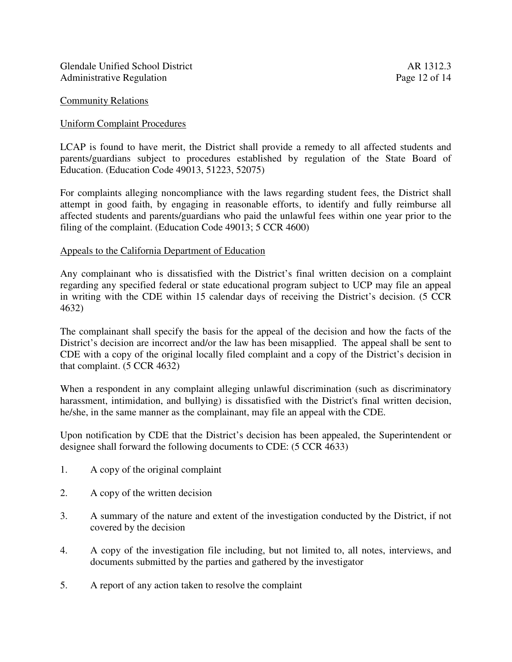## Uniform Complaint Procedures

LCAP is found to have merit, the District shall provide a remedy to all affected students and parents/guardians subject to procedures established by regulation of the State Board of Education. (Education Code 49013, 51223, 52075)

For complaints alleging noncompliance with the laws regarding student fees, the District shall attempt in good faith, by engaging in reasonable efforts, to identify and fully reimburse all affected students and parents/guardians who paid the unlawful fees within one year prior to the filing of the complaint. (Education Code 49013; 5 CCR 4600)

## Appeals to the California Department of Education

Any complainant who is dissatisfied with the District's final written decision on a complaint regarding any specified federal or state educational program subject to UCP may file an appeal in writing with the CDE within 15 calendar days of receiving the District's decision. (5 CCR 4632)

The complainant shall specify the basis for the appeal of the decision and how the facts of the District's decision are incorrect and/or the law has been misapplied. The appeal shall be sent to CDE with a copy of the original locally filed complaint and a copy of the District's decision in that complaint. (5 CCR 4632)

When a respondent in any complaint alleging unlawful discrimination (such as discriminatory harassment, intimidation, and bullying) is dissatisfied with the District's final written decision, he/she, in the same manner as the complainant, may file an appeal with the CDE.

Upon notification by CDE that the District's decision has been appealed, the Superintendent or designee shall forward the following documents to CDE: (5 CCR 4633)

- 1. A copy of the original complaint
- 2. A copy of the written decision
- 3. A summary of the nature and extent of the investigation conducted by the District, if not covered by the decision
- 4. A copy of the investigation file including, but not limited to, all notes, interviews, and documents submitted by the parties and gathered by the investigator
- 5. A report of any action taken to resolve the complaint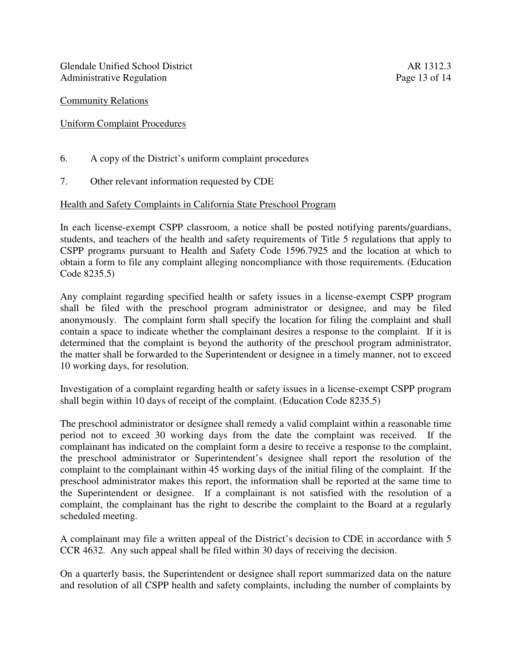# Uniform Complaint Procedures

- 6. A copy of the District's uniform complaint procedures
- 7. Other relevant information requested by CDE

# Health and Safety Complaints in California State Preschool Program

In each license-exempt CSPP classroom, a notice shall be posted notifying parents/guardians, students, and teachers of the health and safety requirements of Title 5 regulations that apply to CSPP programs pursuant to Health and Safety Code 1596.7925 and the location at which to obtain a form to file any complaint alleging noncompliance with those requirements. (Education Code 8235.5)

Any complaint regarding specified health or safety issues in a license-exempt CSPP program shall be filed with the preschool program administrator or designee, and may be filed anonymously. The complaint form shall specify the location for filing the complaint and shall contain a space to indicate whether the complainant desires a response to the complaint. If it is determined that the complaint is beyond the authority of the preschool program administrator, the matter shall be forwarded to the Superintendent or designee in a timely manner, not to exceed 10 working days, for resolution.

Investigation of a complaint regarding health or safety issues in a license-exempt CSPP program shall begin within 10 days of receipt of the complaint. (Education Code 8235.5)

The preschool administrator or designee shall remedy a valid complaint within a reasonable time period not to exceed 30 working days from the date the complaint was received. If the complainant has indicated on the complaint form a desire to receive a response to the complaint, the preschool administrator or Superintendent's designee shall report the resolution of the complaint to the complainant within 45 working days of the initial filing of the complaint. If the preschool administrator makes this report, the information shall be reported at the same time to the Superintendent or designee. If a complainant is not satisfied with the resolution of a complaint, the complainant has the right to describe the complaint to the Board at a regularly scheduled meeting.

A complainant may file a written appeal of the District's decision to CDE in accordance with 5 CCR 4632. Any such appeal shall be filed within 30 days of receiving the decision.

On a quarterly basis, the Superintendent or designee shall report summarized data on the nature and resolution of all CSPP health and safety complaints, including the number of complaints by